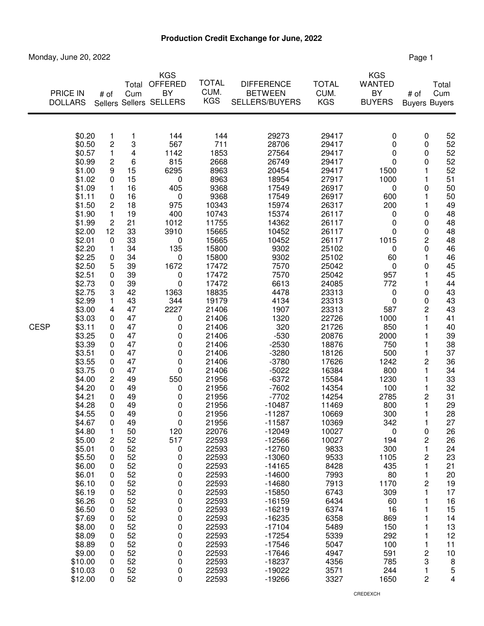## **Production Credit Exchange for June, 2022**

Monday, June 20, 2022 **Page 1** 

|             | PRICE IN<br><b>DOLLARS</b>                                                                                                                                                                                                                                                                                                                                                                                                                                                                                                              | # of                                                                                                                                                                                                                                                                                            | Total<br>Cum                                                                                                                                                                                                                                                                                                     | <b>KGS</b><br><b>OFFERED</b><br>BY<br>Sellers Sellers SELLERS                                                                                                                                                                                                                                                       | <b>TOTAL</b><br>CUM.<br><b>KGS</b>                                                                                                                                                                                                                                                                                                                                                                                                                                     | <b>DIFFERENCE</b><br><b>BETWEEN</b><br><b>SELLERS/BUYERS</b>                                                                                                                                                                                                                                                                                                                                                                                                                                                                                      | <b>TOTAL</b><br>CUM.<br><b>KGS</b>                                                                                                                                                                                                                                                                                                                                                                                                                               | <b>KGS</b><br><b>WANTED</b><br>BY<br><b>BUYERS</b>                                                                                                                                                                                                                                                                                                            | # of<br><b>Buyers Buyers</b>                                                                                                                                                                                                                                      | Total<br>Cum                                                                                                                                                                                                                                                                                                      |
|-------------|-----------------------------------------------------------------------------------------------------------------------------------------------------------------------------------------------------------------------------------------------------------------------------------------------------------------------------------------------------------------------------------------------------------------------------------------------------------------------------------------------------------------------------------------|-------------------------------------------------------------------------------------------------------------------------------------------------------------------------------------------------------------------------------------------------------------------------------------------------|------------------------------------------------------------------------------------------------------------------------------------------------------------------------------------------------------------------------------------------------------------------------------------------------------------------|---------------------------------------------------------------------------------------------------------------------------------------------------------------------------------------------------------------------------------------------------------------------------------------------------------------------|------------------------------------------------------------------------------------------------------------------------------------------------------------------------------------------------------------------------------------------------------------------------------------------------------------------------------------------------------------------------------------------------------------------------------------------------------------------------|---------------------------------------------------------------------------------------------------------------------------------------------------------------------------------------------------------------------------------------------------------------------------------------------------------------------------------------------------------------------------------------------------------------------------------------------------------------------------------------------------------------------------------------------------|------------------------------------------------------------------------------------------------------------------------------------------------------------------------------------------------------------------------------------------------------------------------------------------------------------------------------------------------------------------------------------------------------------------------------------------------------------------|---------------------------------------------------------------------------------------------------------------------------------------------------------------------------------------------------------------------------------------------------------------------------------------------------------------------------------------------------------------|-------------------------------------------------------------------------------------------------------------------------------------------------------------------------------------------------------------------------------------------------------------------|-------------------------------------------------------------------------------------------------------------------------------------------------------------------------------------------------------------------------------------------------------------------------------------------------------------------|
| <b>CESP</b> | \$0.20<br>\$0.50<br>\$0.57<br>\$0.99<br>\$1.00<br>\$1.02<br>\$1.09<br>\$1.11<br>\$1.50<br>\$1.90<br>\$1.99<br>\$2.00<br>\$2.01<br>\$2.20<br>\$2.25<br>\$2.50<br>\$2.51<br>\$2.73<br>\$2.75<br>\$2.99<br>\$3.00<br>\$3.03<br>\$3.11<br>\$3.25<br>\$3.39<br>\$3.51<br>\$3.55<br>\$3.75<br>\$4.00<br>\$4.20<br>\$4.21<br>\$4.28<br>\$4.55<br>\$4.67<br>\$4.80<br>\$5.00<br>\$5.01<br>\$5.50<br>\$6.00<br>\$6.01<br>\$6.10<br>\$6.19<br>\$6.26<br>\$6.50<br>\$7.69<br>\$8.00<br>\$8.09<br>\$8.89<br>\$9.00<br>\$10.00<br>\$10.03<br>\$12.00 | 1<br>$\mathbf 2$<br>1<br>$\overline{c}$<br>9<br>0<br>1<br>0<br>2<br>1<br>2<br>12<br>0<br>1<br>0<br>5<br>0<br>0<br>3<br>1<br>4<br>0<br>0<br>0<br>0<br>0<br>0<br>0<br>2<br>0<br>0<br>0<br>0<br>0<br>1<br>2<br>0<br>0<br>0<br>0<br>0<br>0<br>0<br>0<br>0<br>0<br>0<br>0<br>0<br>0<br>0<br>$\Omega$ | 1<br>3<br>4<br>6<br>15<br>15<br>16<br>16<br>18<br>19<br>21<br>33<br>33<br>34<br>34<br>39<br>39<br>39<br>42<br>43<br>47<br>47<br>47<br>47<br>47<br>47<br>47<br>47<br>49<br>49<br>49<br>49<br>49<br>49<br>50<br>52<br>52<br>52<br>52<br>52<br>52<br>52<br>52<br>52<br>52<br>52<br>52<br>52<br>52<br>52<br>52<br>52 | 144<br>567<br>1142<br>815<br>6295<br>0<br>405<br>0<br>975<br>400<br>1012<br>3910<br>$\pmb{0}$<br>135<br>0<br>1672<br>0<br>0<br>1363<br>344<br>2227<br>0<br>0<br>0<br>0<br>0<br>0<br>0<br>550<br>0<br>0<br>0<br>0<br>0<br>120<br>517<br>0<br>0<br>0<br>0<br>0<br>0<br>0<br>0<br>0<br>0<br>0<br>0<br>0<br>0<br>0<br>0 | 144<br>711<br>1853<br>2668<br>8963<br>8963<br>9368<br>9368<br>10343<br>10743<br>11755<br>15665<br>15665<br>15800<br>15800<br>17472<br>17472<br>17472<br>18835<br>19179<br>21406<br>21406<br>21406<br>21406<br>21406<br>21406<br>21406<br>21406<br>21956<br>21956<br>21956<br>21956<br>21956<br>21956<br>22076<br>22593<br>22593<br>22593<br>22593<br>22593<br>22593<br>22593<br>22593<br>22593<br>22593<br>22593<br>22593<br>22593<br>22593<br>22593<br>22593<br>22593 | 29273<br>28706<br>27564<br>26749<br>20454<br>18954<br>17549<br>17549<br>15974<br>15374<br>14362<br>10452<br>10452<br>9302<br>9302<br>7570<br>7570<br>6613<br>4478<br>4134<br>1907<br>1320<br>320<br>$-530$<br>$-2530$<br>$-3280$<br>$-3780$<br>$-5022$<br>$-6372$<br>$-7602$<br>$-7702$<br>$-10487$<br>$-11287$<br>-11587<br>$-12049$<br>$-12566$<br>$-12760$<br>$-13060$<br>$-14165$<br>$-14600$<br>$-14680$<br>$-15850$<br>$-16159$<br>$-16219$<br>$-16235$<br>$-17104$<br>$-17254$<br>$-17546$<br>$-17646$<br>$-18237$<br>$-19022$<br>$-19266$ | 29417<br>29417<br>29417<br>29417<br>29417<br>27917<br>26917<br>26917<br>26317<br>26117<br>26117<br>26117<br>26117<br>25102<br>25102<br>25042<br>25042<br>24085<br>23313<br>23313<br>23313<br>22726<br>21726<br>20876<br>18876<br>18126<br>17626<br>16384<br>15584<br>14354<br>14254<br>11469<br>10669<br>10369<br>10027<br>10027<br>9833<br>9533<br>8428<br>7993<br>7913<br>6743<br>6434<br>6374<br>6358<br>5489<br>5339<br>5047<br>4947<br>4356<br>3571<br>3327 | 0<br>0<br>0<br>0<br>1500<br>1000<br>0<br>600<br>200<br>0<br>0<br>0<br>1015<br>0<br>60<br>0<br>957<br>772<br>0<br>0<br>587<br>1000<br>850<br>2000<br>750<br>500<br>1242<br>800<br>1230<br>100<br>2785<br>800<br>300<br>342<br>$\pmb{0}$<br>194<br>300<br>1105<br>435<br>80<br>1170<br>309<br>60<br>16<br>869<br>150<br>292<br>100<br>591<br>785<br>244<br>1650 | 0<br>0<br>0<br>0<br>1<br>1<br>0<br>1<br>1<br>0<br>0<br>0<br>2<br>0<br>1<br>0<br>1<br>1<br>0<br>0<br>2<br>1<br>1<br>1<br>1<br>1<br>2<br>1<br>1<br>1<br>2<br>1<br>1<br>1<br>0<br>2<br>1<br>$\overline{c}$<br>1<br>1<br>2<br>1<br>1<br>$\overline{c}$<br>3<br>1<br>2 | 52<br>52<br>52<br>52<br>52<br>51<br>50<br>50<br>49<br>48<br>48<br>48<br>48<br>46<br>46<br>45<br>45<br>44<br>43<br>43<br>43<br>41<br>40<br>39<br>38<br>37<br>36<br>34<br>33<br>32<br>31<br>29<br>28<br>27<br>26<br>26<br>24<br>23<br>21<br>20<br>19<br>17<br>16<br>15<br>14<br>13<br>12<br>11<br>10<br>8<br>5<br>4 |

CREDEXCH